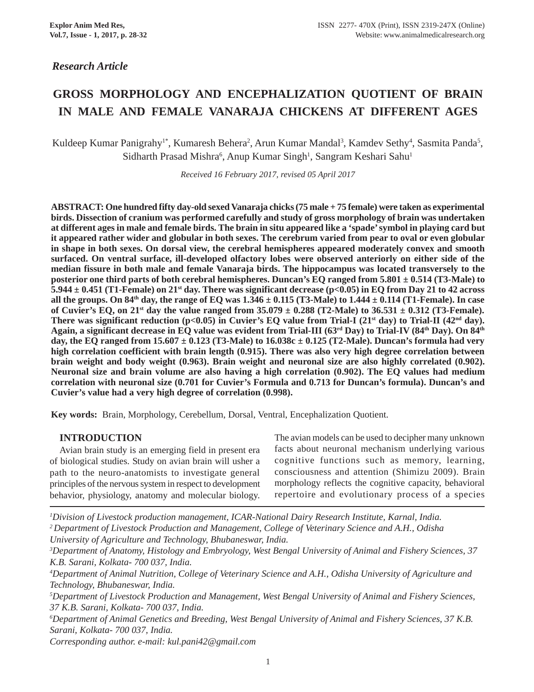# *Research Article*

# **GROSS MORPHOLOGY AND ENCEPHALIZATION QUOTIENT OF BRAIN IN MALE AND FEMALE VANARAJA CHICKENS AT DIFFERENT AGES**

Kuldeep Kumar Panigrahy<sup>1\*</sup>, Kumaresh Behera<sup>2</sup>, Arun Kumar Mandal<sup>3</sup>, Kamdev Sethy<sup>4</sup>, Sasmita Panda<sup>5</sup>, Sidharth Prasad Mishra<sup>6</sup>, Anup Kumar Singh<sup>1</sup>, Sangram Keshari Sahu<sup>1</sup>

*Received 16 February 2017, revised 05 April 2017*

**ABSTRACT: One hundred fifty day-old sexed Vanaraja chicks (75 male + 75 female) were taken as experimental birds. Dissection of cranium was performed carefully and study of gross morphology of brain was undertaken at different ages in male and female birds. The brain in situ appeared like a 'spade' symbol in playing card but it appeared rather wider and globular in both sexes. The cerebrum varied from pear to oval or even globular in shape in both sexes. On dorsal view, the cerebral hemispheres appeared moderately convex and smooth surfaced. On ventral surface, ill-developed olfactory lobes were observed anteriorly on either side of the median fissure in both male and female Vanaraja birds. The hippocampus was located transversely to the posterior one third parts of both cerebral hemispheres. Duncan's EQ ranged from 5.801 ± 0.514 (T3-Male) to 5.944 ± 0.451 (T1-Female) on 21st day. There was significant decrease (p<0.05) in EQ from Day 21 to 42 across all the groups. On 84th day, the range of EQ was 1.346 ± 0.115 (T3-Male) to 1.444 ± 0.114 (T1-Female). In case** of Cuvier's EQ, on  $21^{st}$  day the value ranged from  $35.079 \pm 0.288$  (T2-Male) to  $36.531 \pm 0.312$  (T3-Female). **There was significant reduction (p<0.05) in Cuvier's EQ value from Trial-I (21<sup>st</sup> day) to Trial-II (42<sup>nd</sup> day). Again, a significant decrease in EQ value was evident from Trial-III (63rd Day) to Trial-IV (84th Day). On 84th day, the EQ ranged from 15.607 ± 0.123 (T3-Male) to 16.038c ± 0.125 (T2-Male). Duncan's formula had very high correlation coefficient with brain length (0.915). There was also very high degree correlation between brain weight and body weight (0.963). Brain weight and neuronal size are also highly correlated (0.902). Neuronal size and brain volume are also having a high correlation (0.902). The EQ values had medium correlation with neuronal size (0.701 for Cuvier's Formula and 0.713 for Duncan's formula). Duncan's and Cuvier's value had a very high degree of correlation (0.998).**

**Key words:** Brain, Morphology, Cerebellum, Dorsal, Ventral, Encephalization Quotient.

## **INTRODUCTION**

Avian brain study is an emerging field in present era of biological studies. Study on avian brain will usher a path to the neuro-anatomists to investigate general principles of the nervous system in respect to development behavior, physiology, anatomy and molecular biology. The avian models can be used to decipher many unknown facts about neuronal mechanism underlying various cognitive functions such as memory, learning, consciousness and attention (Shimizu 2009). Brain morphology reflects the cognitive capacity, behavioral repertoire and evolutionary process of a species

*1 Division of Livestock production management, ICAR-National Dairy Research Institute, Karnal, India. 2 Department of Livestock Production and Management, College of Veterinary Science and A.H., Odisha University of Agriculture and Technology, Bhubaneswar, India.*

*3 Department of Anatomy, Histology and Embryology, West Bengal University of Animal and Fishery Sciences, 37 K.B. Sarani, Kolkata- 700 037, India.*

*4 Department of Animal Nutrition, College of Veterinary Science and A.H., Odisha University of Agriculture and Technology, Bhubaneswar, India.*

*5 Department of Livestock Production and Management, West Bengal University of Animal and Fishery Sciences, 37 K.B. Sarani, Kolkata- 700 037, India.*

*6 Department of Animal Genetics and Breeding, West Bengal University of Animal and Fishery Sciences, 37 K.B. Sarani, Kolkata- 700 037, India.*

*Corresponding author. e-mail: kul.pani42@gmail.com*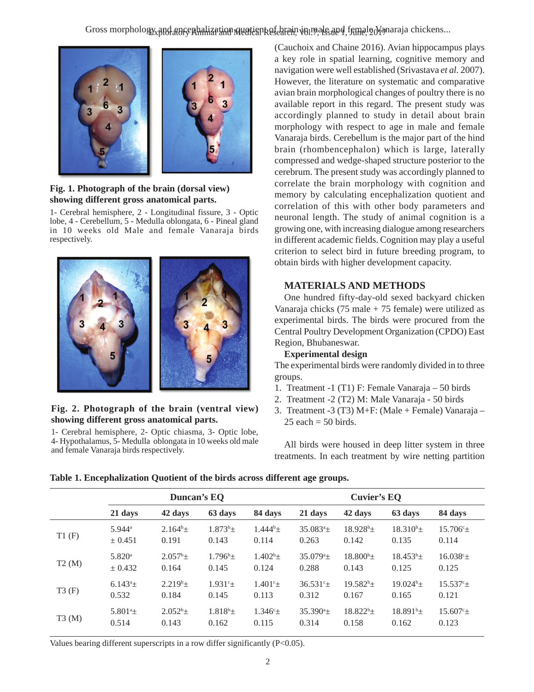Exploratory Animal and Medical Research, Vol.7, Issue 1, June, 2017 Gross morphology and encephalization quotient of brain in male and female Vanaraja chickens...



### **Fig. 1. Photograph of the brain (dorsal view) showing different gross anatomical parts.**

1- Cerebral hemisphere, 2 - Longitudinal fissure, 3 - Optic lobe, 4 - Cerebellum, 5 - Medulla oblongata, 6 - Pineal gland in 10 weeks old Male and female Vanaraja birds respectively.



## **Fig. 2. Photograph of the brain (ventral view) showing different gross anatomical parts.**

1- Cerebral hemisphere, 2- Optic chiasma, 3- Optic lobe, 4- Hypothalamus, 5- Medulla oblongata in 10 weeks old male and female Vanaraja birds respectively.

(Cauchoix and Chaine 2016). Avian hippocampus plays a key role in spatial learning, cognitive memory and navigation were well established (Srivastava *et al.* 2007). However, the literature on systematic and comparative avian brain morphological changes of poultry there is no available report in this regard. The present study was accordingly planned to study in detail about brain morphology with respect to age in male and female Vanaraja birds. Cerebellum is the major part of the hind brain (rhombencephalon) which is large, laterally compressed and wedge-shaped structure posterior to the cerebrum. The present study was accordingly planned to correlate the brain morphology with cognition and memory by calculating encephalization quotient and correlation of this with other body parameters and neuronal length. The study of animal cognition is a growing one, with increasing dialogue among researchers in different academic fields. Cognition may play a useful criterion to select bird in future breeding program, to obtain birds with higher development capacity.

# **MATERIALS AND METHODS**

One hundred fifty-day-old sexed backyard chicken Vanaraja chicks  $(75 \text{ male} + 75 \text{ female})$  were utilized as experimental birds. The birds were procured from the Central Poultry Development Organization (CPDO) East Region, Bhubaneswar.

## **Experimental design**

The experimental birds were randomly divided in to three groups.

- 1. Treatment -1 (T1) F: Female Vanaraja 50 birds
- 2. Treatment -2 (T2) M: Male Vanaraja 50 birds
- 3. Treatment -3 (T3) M+F: (Male + Female) Vanaraja  $25$  each  $= 50$  birds.

All birds were housed in deep litter system in three treatments. In each treatment by wire netting partition

**Table 1. Encephalization Quotient of the birds across different age groups.**

|       | Duncan's EQ              |               |               |                  | Cuvier's EQ             |                |                |                    |
|-------|--------------------------|---------------|---------------|------------------|-------------------------|----------------|----------------|--------------------|
|       | 21 days                  | 42 days       | 63 days       | 84 days          | 21 days                 | 42 days        | 63 days        | 84 days            |
| T1(F) | $5.944$ <sup>a</sup>     | $2.164^b \pm$ | $1.873^{b}+$  | $1.444^{b}+$     | $35.083^{\circ}$        | $18.928^{b}+$  | $18.310^{b}$ + | $15.706^{\circ}$ + |
|       | ± 0.451                  | 0.191         | 0.143         | 0.114            | 0.263                   | 0.142          | 0.135          | 0.114              |
| T2(M) | 5.820a                   | $2.057^b$ +   | $1.796^b$ +   | $1.402^b$ +      | $35.079^{\circ}$        | $18.800^{b}$ + | $18.453^{b}+$  | $16.038^{\circ}+$  |
|       | ± 0.432                  | 0.164         | 0.145         | 0.124            | 0.288                   | 0.143          | 0.125          | 0.125              |
| T3(F) | $6.143^a\pm$             | $2.219^{b}+$  | $1.931c +$    | $1.401^{\circ}$  | $36.531$ <sup>c</sup> + | $19.582^{b}+$  | $19.024^{b}+$  | $15.537^{\circ}+$  |
|       | 0.532                    | 0.184         | 0.145         | 0.113            | 0.312                   | 0.167          | 0.165          | 0.121              |
| T3(M) | 5.801 <sup>a</sup> $\pm$ | $2.052^{b}+$  | $1.818^{b}$ + | $1.346^{\circ}+$ | $35.390^{\circ}$        | $18.822^{b}+$  | $18.891^{b}+$  | $15.607^{\circ}+$  |
|       | 0.514                    | 0.143         | 0.162         | 0.115            | 0.314                   | 0.158          | 0.162          | 0.123              |

Values bearing different superscripts in a row differ significantly (P<0.05).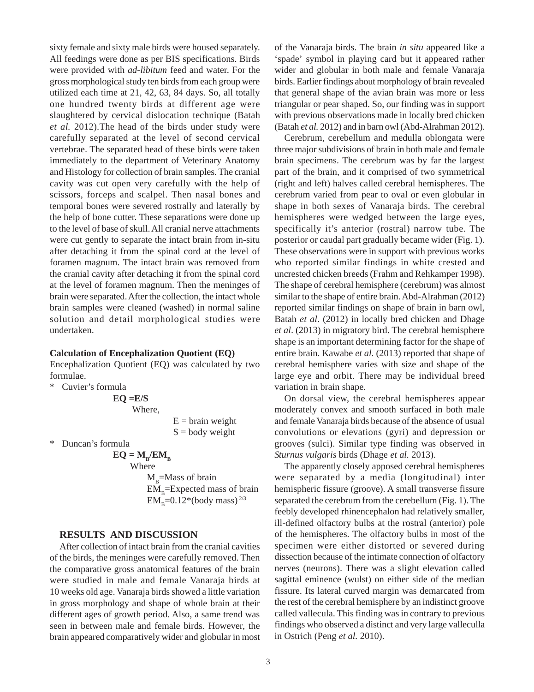sixty female and sixty male birds were housed separately. All feedings were done as per BIS specifications. Birds were provided with *ad-libitum* feed and water. For the gross morphological study ten birds from each group were utilized each time at 21, 42, 63, 84 days. So, all totally one hundred twenty birds at different age were slaughtered by cervical dislocation technique (Batah *et al.* 2012).The head of the birds under study were carefully separated at the level of second cervical vertebrae. The separated head of these birds were taken immediately to the department of Veterinary Anatomy and Histology for collection of brain samples. The cranial cavity was cut open very carefully with the help of scissors, forceps and scalpel. Then nasal bones and temporal bones were severed rostrally and laterally by the help of bone cutter. These separations were done up to the level of base of skull. All cranial nerve attachments were cut gently to separate the intact brain from in-situ after detaching it from the spinal cord at the level of foramen magnum. The intact brain was removed from the cranial cavity after detaching it from the spinal cord at the level of foramen magnum. Then the meninges of brain were separated. After the collection, the intact whole brain samples were cleaned (washed) in normal saline solution and detail morphological studies were undertaken.

#### **Calculation of Encephalization Quotient (EQ)**

Encephalization Quotient (EQ) was calculated by two formulae.

Cuvier's formula

 $EO = E/S$ Where,

 $E = \text{brain weight}$  $S =$  body weight

\* Duncan's formula

 $EQ = M_{\rm B}/EM_{\rm B}$ 

Where  $M_{p}$ =Mass of brain  $EM<sub>B</sub>=Expected mass of brain$  $EM_{\rm B}=0.12*(body \; mass)^{2/3}$ 

#### **RESULTS AND DISCUSSION**

After collection of intact brain from the cranial cavities of the birds, the meninges were carefully removed. Then the comparative gross anatomical features of the brain were studied in male and female Vanaraja birds at 10 weeks old age. Vanaraja birds showed a little variation in gross morphology and shape of whole brain at their different ages of growth period. Also, a same trend was seen in between male and female birds. However, the brain appeared comparatively wider and globular in most of the Vanaraja birds. The brain *in situ* appeared like a 'spade' symbol in playing card but it appeared rather wider and globular in both male and female Vanaraja birds. Earlier findings about morphology of brain revealed that general shape of the avian brain was more or less triangular or pear shaped. So, our finding was in support with previous observations made in locally bred chicken (Batah *et al.* 2012) and in barn owl (Abd-Alrahman 2012).

Cerebrum, cerebellum and medulla oblongata were three major subdivisions of brain in both male and female brain specimens. The cerebrum was by far the largest part of the brain, and it comprised of two symmetrical (right and left) halves called cerebral hemispheres. The cerebrum varied from pear to oval or even globular in shape in both sexes of Vanaraja birds. The cerebral hemispheres were wedged between the large eyes, specifically it's anterior (rostral) narrow tube. The posterior or caudal part gradually became wider (Fig. 1). These observations were in support with previous works who reported similar findings in white crested and uncrested chicken breeds (Frahm and Rehkamper 1998). The shape of cerebral hemisphere (cerebrum) was almost similar to the shape of entire brain. Abd-Alrahman (2012) reported similar findings on shape of brain in barn owl, Batah *et al*. (2012) in locally bred chicken and Dhage *et al*. (2013) in migratory bird. The cerebral hemisphere shape is an important determining factor for the shape of entire brain. Kawabe *et al*. (2013) reported that shape of cerebral hemisphere varies with size and shape of the large eye and orbit. There may be individual breed variation in brain shape.

On dorsal view, the cerebral hemispheres appear moderately convex and smooth surfaced in both male and female Vanaraja birds because of the absence of usual convolutions or elevations (gyri) and depression or grooves (sulci). Similar type finding was observed in *Sturnus vulgaris* birds (Dhage *et al.* 2013).

The apparently closely apposed cerebral hemispheres were separated by a media (longitudinal) inter hemispheric fissure (groove). A small transverse fissure separated the cerebrum from the cerebellum (Fig. 1). The feebly developed rhinencephalon had relatively smaller, ill-defined olfactory bulbs at the rostral (anterior) pole of the hemispheres. The olfactory bulbs in most of the specimen were either distorted or severed during dissection because of the intimate connection of olfactory nerves (neurons). There was a slight elevation called sagittal eminence (wulst) on either side of the median fissure. Its lateral curved margin was demarcated from the rest of the cerebral hemisphere by an indistinct groove called vallecula. This finding was in contrary to previous findings who observed a distinct and very large valleculla in Ostrich (Peng *et al.* 2010).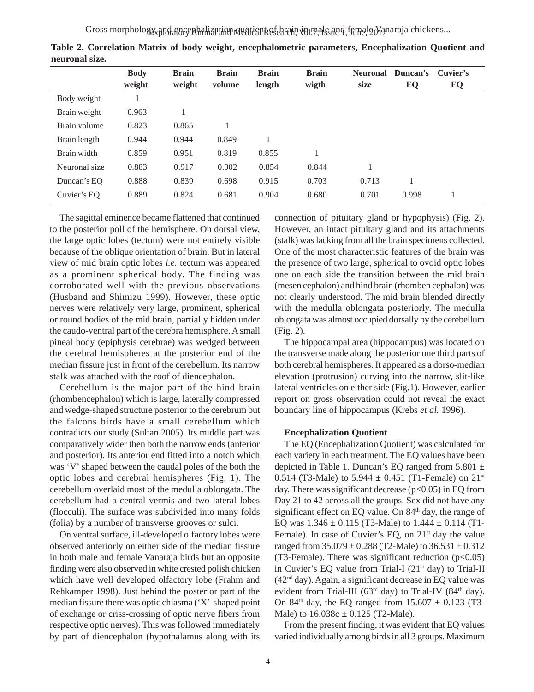| <b>Body</b> | <b>Brain</b> | <b>Brain</b> | <b>Brain</b> | <b>Brain</b> | <b>Neuronal</b> |       | Cuvier's |
|-------------|--------------|--------------|--------------|--------------|-----------------|-------|----------|
| weight      | weight       | volume       | length       | wigth        | size            | EQ    | EQ       |
|             |              |              |              |              |                 |       |          |
| 0.963       |              |              |              |              |                 |       |          |
| 0.823       | 0.865        |              |              |              |                 |       |          |
| 0.944       | 0.944        | 0.849        |              |              |                 |       |          |
| 0.859       | 0.951        | 0.819        | 0.855        |              |                 |       |          |
| 0.883       | 0.917        | 0.902        | 0.854        | 0.844        |                 |       |          |
| 0.888       | 0.839        | 0.698        | 0.915        | 0.703        | 0.713           |       |          |
| 0.889       | 0.824        | 0.681        | 0.904        | 0.680        | 0.701           | 0.998 |          |
|             |              |              |              |              |                 |       | Duncan's |

**Table 2. Correlation Matrix of body weight, encephalometric parameters, Encephalization Quotient and neuronal size.**

The sagittal eminence became flattened that continued to the posterior poll of the hemisphere. On dorsal view, the large optic lobes (tectum) were not entirely visible because of the oblique orientation of brain. But in lateral view of mid brain optic lobes *i.e.* tectum was appeared as a prominent spherical body. The finding was corroborated well with the previous observations (Husband and Shimizu 1999). However, these optic nerves were relatively very large, prominent, spherical or round bodies of the mid brain, partially hidden under the caudo-ventral part of the cerebra hemisphere. A small pineal body (epiphysis cerebrae) was wedged between the cerebral hemispheres at the posterior end of the median fissure just in front of the cerebellum. Its narrow stalk was attached with the roof of diencephalon.

Cerebellum is the major part of the hind brain (rhombencephalon) which is large, laterally compressed and wedge-shaped structure posterior to the cerebrum but the falcons birds have a small cerebellum which contradicts our study (Sultan 2005). Its middle part was comparatively wider then both the narrow ends (anterior and posterior). Its anterior end fitted into a notch which was 'V' shaped between the caudal poles of the both the optic lobes and cerebral hemispheres (Fig. 1). The cerebellum overlaid most of the medulla oblongata. The cerebellum had a central vermis and two lateral lobes (flocculi). The surface was subdivided into many folds (folia) by a number of transverse grooves or sulci.

On ventral surface, ill-developed olfactory lobes were observed anteriorly on either side of the median fissure in both male and female Vanaraja birds but an opposite finding were also observed in white crested polish chicken which have well developed olfactory lobe (Frahm and Rehkamper 1998). Just behind the posterior part of the median fissure there was optic chiasma ('X'-shaped point of exchange or criss-crossing of optic nerve fibers from respective optic nerves). This was followed immediately by part of diencephalon (hypothalamus along with its connection of pituitary gland or hypophysis) (Fig. 2). However, an intact pituitary gland and its attachments (stalk) was lacking from all the brain specimens collected. One of the most characteristic features of the brain was the presence of two large, spherical to ovoid optic lobes one on each side the transition between the mid brain (mesen cephalon) and hind brain (rhomben cephalon) was not clearly understood. The mid brain blended directly with the medulla oblongata posteriorly. The medulla oblongata was almost occupied dorsally by the cerebellum (Fig. 2).

The hippocampal area (hippocampus) was located on the transverse made along the posterior one third parts of both cerebral hemispheres. It appeared as a dorso-median elevation (protrusion) curving into the narrow, slit-like lateral ventricles on either side (Fig.1). However, earlier report on gross observation could not reveal the exact boundary line of hippocampus (Krebs *et al.* 1996).

#### **Encephalization Quotient**

The EQ (Encephalization Quotient) was calculated for each variety in each treatment. The EQ values have been depicted in Table 1. Duncan's EQ ranged from  $5.801 \pm$ 0.514 (T3-Male) to 5.944  $\pm$  0.451 (T1-Female) on 21<sup>st</sup> day. There was significant decrease  $(p<0.05)$  in EQ from Day 21 to 42 across all the groups. Sex did not have any significant effect on EQ value. On 84<sup>th</sup> day, the range of EQ was  $1.346 \pm 0.115$  (T3-Male) to  $1.444 \pm 0.114$  (T1-Female). In case of Cuvier's EQ, on 21<sup>st</sup> day the value ranged from  $35.079 \pm 0.288$  (T2-Male) to  $36.531 \pm 0.312$ (T3-Female). There was significant reduction  $(p<0.05)$ in Cuvier's EQ value from Trial-I ( $21<sup>st</sup>$  day) to Trial-II  $(42<sup>nd</sup> day)$ . Again, a significant decrease in EQ value was evident from Trial-III ( $63<sup>rd</sup>$  day) to Trial-IV ( $84<sup>th</sup>$  day). On 84<sup>th</sup> day, the EQ ranged from  $15.607 \pm 0.123$  (T3-Male) to  $16.038c \pm 0.125$  (T2-Male).

From the present finding, it was evident that EQ values varied individually among birds in all 3 groups. Maximum